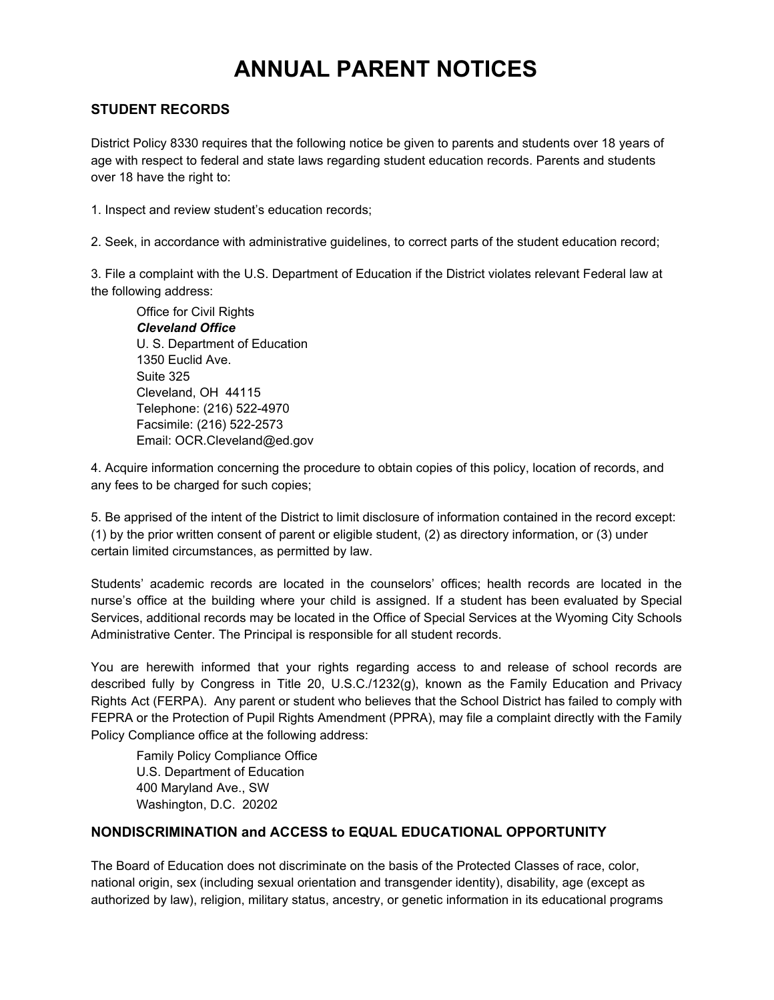# **ANNUAL PARENT NOTICES**

#### **STUDENT RECORDS**

District Policy 8330 requires that the following notice be given to parents and students over 18 years of age with respect to federal and state laws regarding student education records. Parents and students over 18 have the right to:

1. Inspect and review student's education records;

2. Seek, in accordance with administrative guidelines, to correct parts of the student education record;

3. File a complaint with the U.S. Department of Education if the District violates relevant Federal law at the following address:

Office for Civil Rights *Cleveland Office* U. S. Department of Education 1350 Euclid Ave. Suite 325 Cleveland, OH 44115 Telephone: (216) 522-4970 Facsimile: (216) 522-2573 Email: OCR.Cleveland@ed.gov

4. Acquire information concerning the procedure to obtain copies of this policy, location of records, and any fees to be charged for such copies;

5. Be apprised of the intent of the District to limit disclosure of information contained in the record except: (1) by the prior written consent of parent or eligible student, (2) as directory information, or (3) under certain limited circumstances, as permitted by law.

Students' academic records are located in the counselors' offices; health records are located in the nurse's office at the building where your child is assigned. If a student has been evaluated by Special Services, additional records may be located in the Office of Special Services at the Wyoming City Schools Administrative Center. The Principal is responsible for all student records.

You are herewith informed that your rights regarding access to and release of school records are described fully by Congress in Title 20, U.S.C./1232(g), known as the Family Education and Privacy Rights Act (FERPA). Any parent or student who believes that the School District has failed to comply with FEPRA or the Protection of Pupil Rights Amendment (PPRA), may file a complaint directly with the Family Policy Compliance office at the following address:

Family Policy Compliance Office U.S. Department of Education 400 Maryland Ave., SW Washington, D.C. 20202

#### **NONDISCRIMINATION and ACCESS to EQUAL EDUCATIONAL OPPORTUNITY**

The Board of Education does not discriminate on the basis of the Protected Classes of race, color, national origin, sex (including sexual orientation and transgender identity), disability, age (except as authorized by law), religion, military status, ancestry, or genetic information in its educational programs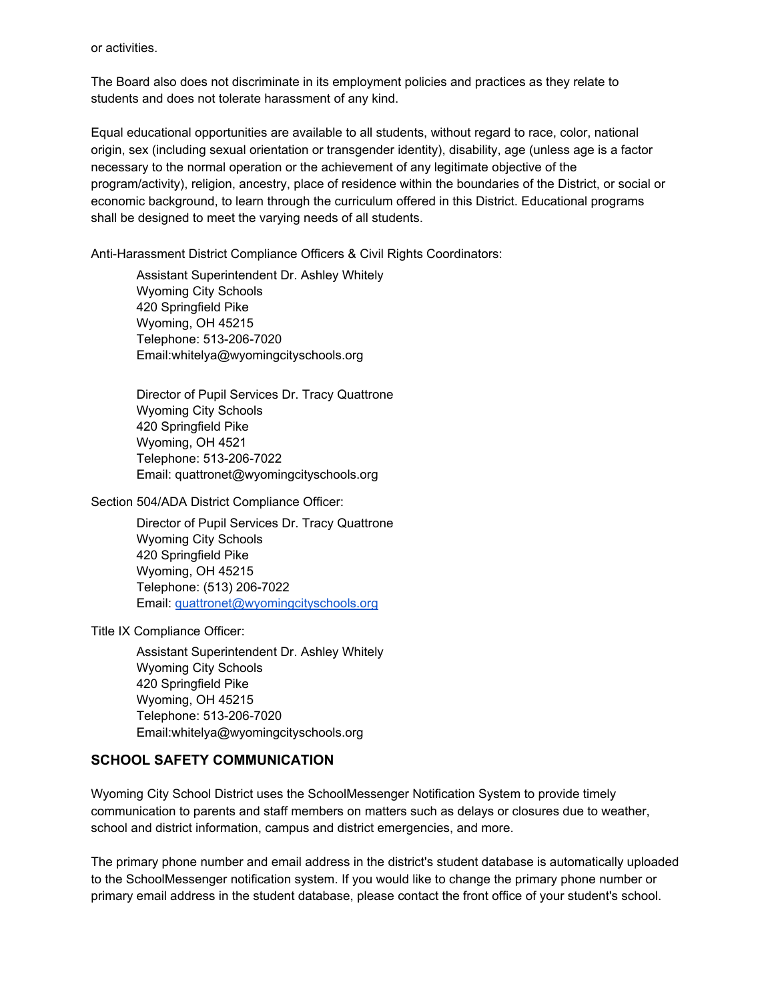or activities.

The Board also does not discriminate in its employment policies and practices as they relate to students and does not tolerate harassment of any kind.

Equal educational opportunities are available to all students, without regard to race, color, national origin, sex (including sexual orientation or transgender identity), disability, age (unless age is a factor necessary to the normal operation or the achievement of any legitimate objective of the program/activity), religion, ancestry, place of residence within the boundaries of the District, or social or economic background, to learn through the curriculum offered in this District. Educational programs shall be designed to meet the varying needs of all students.

Anti-Harassment District Compliance Officers & Civil Rights Coordinators:

Assistant Superintendent Dr. Ashley Whitely Wyoming City Schools 420 Springfield Pike Wyoming, OH 45215 Telephone: 513-206-7020 Email:whitelya@wyomingcityschools.org

Director of Pupil Services Dr. Tracy Quattrone Wyoming City Schools 420 Springfield Pike Wyoming, OH 4521 Telephone: 513-206-7022 Email: quattronet@wyomingcityschools.org

Section 504/ADA District Compliance Officer:

Director of Pupil Services Dr. Tracy Quattrone Wyoming City Schools 420 Springfield Pike Wyoming, OH 45215 Telephone: (513) 206-7022 Email: [quattronet@wyomingcityschools.org](mailto:quattronet@wyomingcityschools.org)

Title IX Compliance Officer:

Assistant Superintendent Dr. Ashley Whitely Wyoming City Schools 420 Springfield Pike Wyoming, OH 45215 Telephone: 513-206-7020 Email:whitelya@wyomingcityschools.org

#### **SCHOOL SAFETY COMMUNICATION**

Wyoming City School District uses the SchoolMessenger Notification System to provide timely communication to parents and staff members on matters such as delays or closures due to weather, school and district information, campus and district emergencies, and more.

The primary phone number and email address in the district's student database is automatically uploaded to the SchoolMessenger notification system. If you would like to change the primary phone number or primary email address in the student database, please contact the front office of your student's school.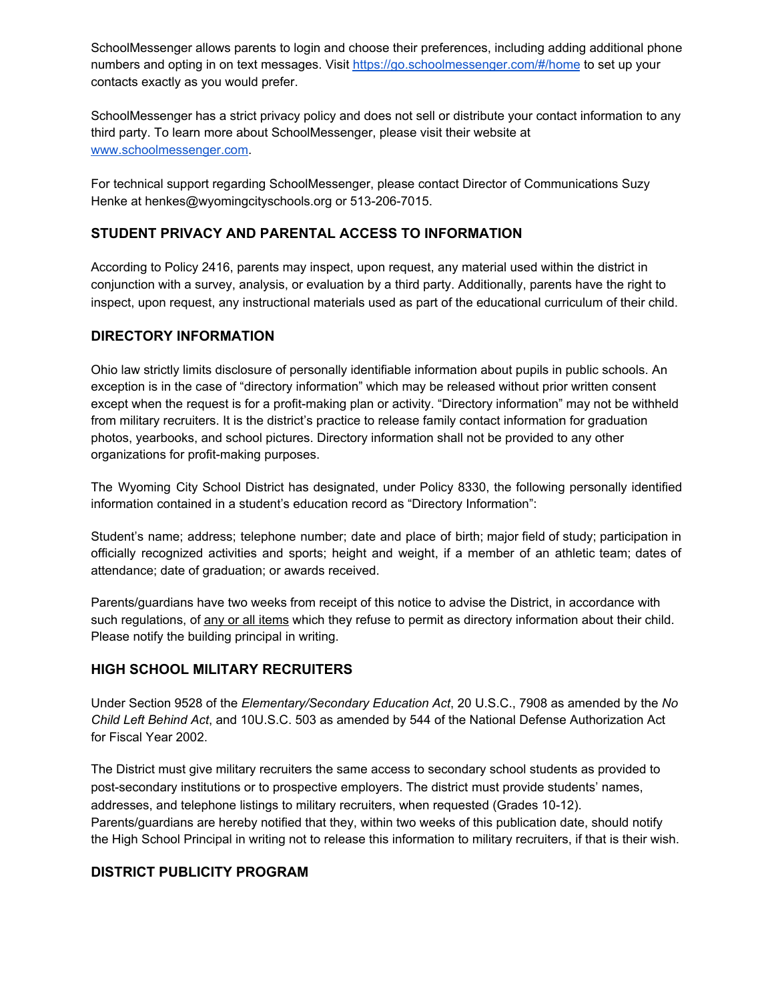SchoolMessenger allows parents to login and choose their preferences, including adding additional phone numbers and opting in on text messages. Visit <https://go.schoolmessenger.com/#/home> to set up your contacts exactly as you would prefer.

SchoolMessenger has a strict privacy policy and does not sell or distribute your contact information to any third party. To learn more about SchoolMessenger, please visit their website at [www.schoolmessenger.com](https://www.schoolmessenger.com/).

For technical support regarding SchoolMessenger, please contact Director of Communications Suzy Henke at henkes@wyomingcityschools.org or 513-206-7015.

### **STUDENT PRIVACY AND PARENTAL ACCESS TO INFORMATION**

According to Policy 2416, parents may inspect, upon request, any material used within the district in conjunction with a survey, analysis, or evaluation by a third party. Additionally, parents have the right to inspect, upon request, any instructional materials used as part of the educational curriculum of their child.

#### **DIRECTORY INFORMATION**

Ohio law strictly limits disclosure of personally identifiable information about pupils in public schools. An exception is in the case of "directory information" which may be released without prior written consent except when the request is for a profit-making plan or activity. "Directory information" may not be withheld from military recruiters. It is the district's practice to release family contact information for graduation photos, yearbooks, and school pictures. Directory information shall not be provided to any other organizations for profit-making purposes.

The Wyoming City School District has designated, under Policy 8330, the following personally identified information contained in a student's education record as "Directory Information":

Student's name; address; telephone number; date and place of birth; major field of study; participation in officially recognized activities and sports; height and weight, if a member of an athletic team; dates of attendance; date of graduation; or awards received.

Parents/guardians have two weeks from receipt of this notice to advise the District, in accordance with such regulations, of any or all items which they refuse to permit as directory information about their child. Please notify the building principal in writing.

#### **HIGH SCHOOL MILITARY RECRUITERS**

Under Section 9528 of the *Elementary/Secondary Education Act*, 20 U.S.C., 7908 as amended by the *No Child Left Behind Act*, and 10U.S.C. 503 as amended by 544 of the National Defense Authorization Act for Fiscal Year 2002.

The District must give military recruiters the same access to secondary school students as provided to post-secondary institutions or to prospective employers. The district must provide students' names, addresses, and telephone listings to military recruiters, when requested (Grades 10-12). Parents/guardians are hereby notified that they, within two weeks of this publication date, should notify the High School Principal in writing not to release this information to military recruiters, if that is their wish.

#### **DISTRICT PUBLICITY PROGRAM**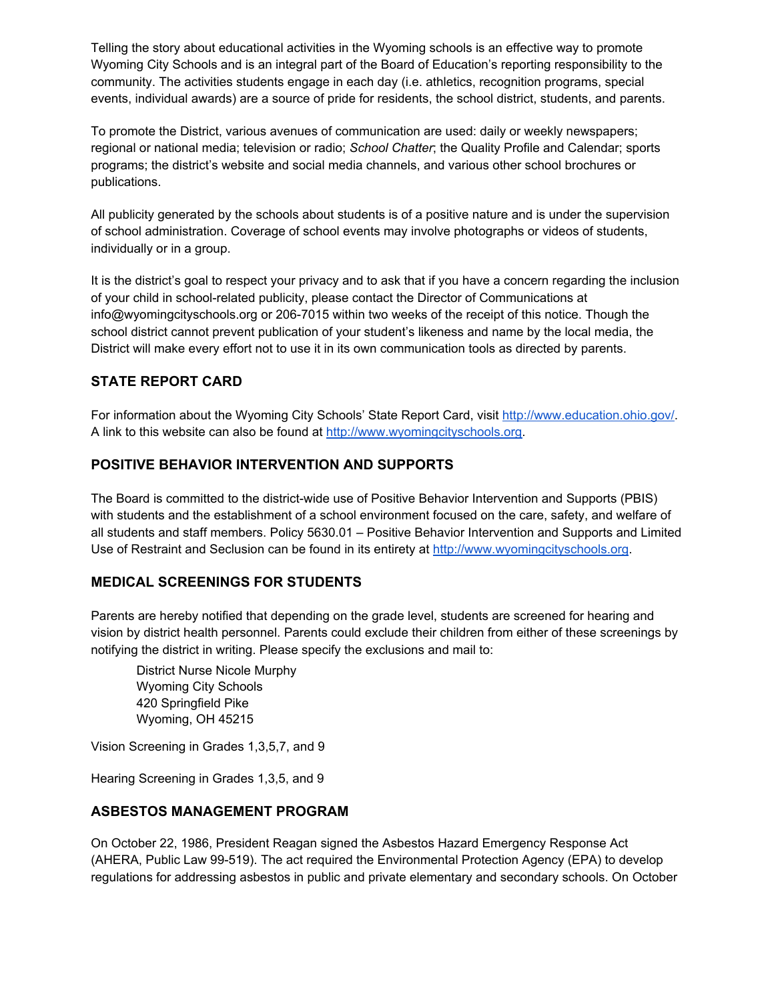Telling the story about educational activities in the Wyoming schools is an effective way to promote Wyoming City Schools and is an integral part of the Board of Education's reporting responsibility to the community. The activities students engage in each day (i.e. athletics, recognition programs, special events, individual awards) are a source of pride for residents, the school district, students, and parents.

To promote the District, various avenues of communication are used: daily or weekly newspapers; regional or national media; television or radio; *School Chatter*; the Quality Profile and Calendar; sports programs; the district's website and social media channels, and various other school brochures or publications.

All publicity generated by the schools about students is of a positive nature and is under the supervision of school administration. Coverage of school events may involve photographs or videos of students, individually or in a group.

It is the district's goal to respect your privacy and to ask that if you have a concern regarding the inclusion of your child in school-related publicity, please contact the Director of Communications at info@wyomingcityschools.org or 206-7015 within two weeks of the receipt of this notice. Though the school district cannot prevent publication of your student's likeness and name by the local media, the District will make every effort not to use it in its own communication tools as directed by parents.

## **STATE REPORT CARD**

For information about the Wyoming City Schools' State Report Card, visi[t](http://www.education.ohio.gov/) [http://www.education.ohio.gov/.](http://www.education.ohio.gov/) A link to this website can also be found a[t](http://www.wyomingcityschools.org/) [http://www.wyomingcityschools.org](http://www.wyomingcityschools.org/).

## **POSITIVE BEHAVIOR INTERVENTION AND SUPPORTS**

The Board is committed to the district-wide use of Positive Behavior Intervention and Supports (PBIS) with students and the establishment of a school environment focused on the care, safety, and welfare of all students and staff members. Policy 5630.01 – Positive Behavior Intervention and Supports and Limited Use of Restraint and Seclusion can be found in its entirety at [http://www.wyomingcityschools.org](http://www.wyomingcityschools.org/).

#### **MEDICAL SCREENINGS FOR STUDENTS**

Parents are hereby notified that depending on the grade level, students are screened for hearing and vision by district health personnel. Parents could exclude their children from either of these screenings by notifying the district in writing. Please specify the exclusions and mail to:

District Nurse Nicole Murphy Wyoming City Schools 420 Springfield Pike Wyoming, OH 45215

Vision Screening in Grades 1,3,5,7, and 9

Hearing Screening in Grades 1,3,5, and 9

### **ASBESTOS MANAGEMENT PROGRAM**

On October 22, 1986, President Reagan signed the Asbestos Hazard Emergency Response Act (AHERA, Public Law 99-519). The act required the Environmental Protection Agency (EPA) to develop regulations for addressing asbestos in public and private elementary and secondary schools. On October